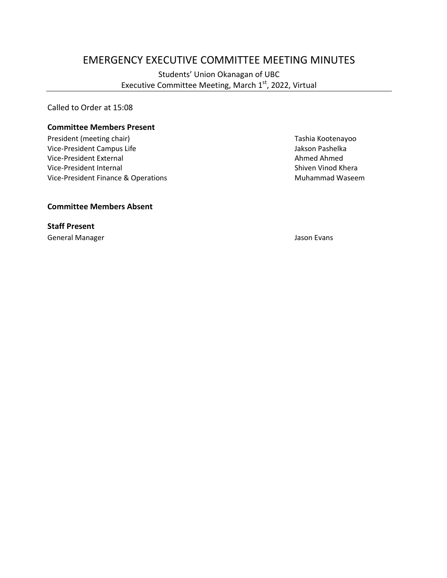# EMERGENCY EXECUTIVE COMMITTEE MEETING MINUTES

Students' Union Okanagan of UBC Executive Committee Meeting, March 1<sup>st</sup>, 2022, Virtual

Called to Order at 15:08

#### **Committee Members Present**

President (meeting chair) Tashia Kootenayoo Vice-President Campus Life **Jakson Pashelka** Jakson Pashelka Vice-President External Ahmed Ahmed Vice-President Internal Shiven Vinod Khera Vice-President Finance & Operations Muhammad Waseem

**Committee Members Absent**

**Staff Present** General Manager Jason Evans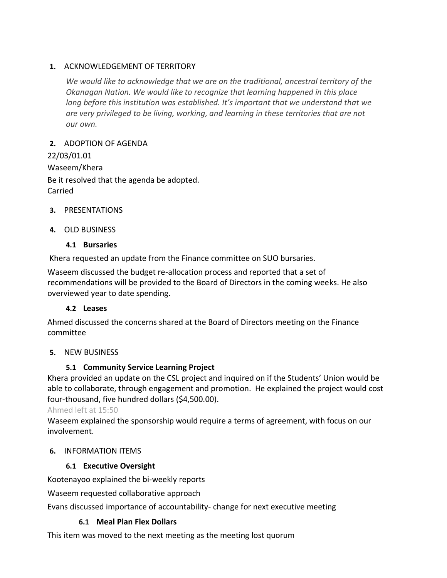#### **1.** ACKNOWLEDGEMENT OF TERRITORY

*We would like to acknowledge that we are on the traditional, ancestral territory of the Okanagan Nation. We would like to recognize that learning happened in this place long before this institution was established. It's important that we understand that we are very privileged to be living, working, and learning in these territories that are not our own.*

#### **2.** ADOPTION OF AGENDA

22/03/01.01 Waseem/Khera Be it resolved that the agenda be adopted. Carried

#### **3.** PRESENTATIONS

#### **4.** OLD BUSINESS

#### **4.1 Bursaries**

Khera requested an update from the Finance committee on SUO bursaries.

Waseem discussed the budget re-allocation process and reported that a set of recommendations will be provided to the Board of Directors in the coming weeks. He also overviewed year to date spending.

#### **4.2 Leases**

Ahmed discussed the concerns shared at the Board of Directors meeting on the Finance committee

#### **5.** NEW BUSINESS

### **5.1 Community Service Learning Project**

Khera provided an update on the CSL project and inquired on if the Students' Union would be able to collaborate, through engagement and promotion. He explained the project would cost four-thousand, five hundred dollars (\$4,500.00).

Ahmed left at 15:50

Waseem explained the sponsorship would require a terms of agreement, with focus on our involvement.

### **6.** INFORMATION ITEMS

### **6.1 Executive Oversight**

Kootenayoo explained the bi-weekly reports

Waseem requested collaborative approach

Evans discussed importance of accountability- change for next executive meeting

### **6.1 Meal Plan Flex Dollars**

This item was moved to the next meeting as the meeting lost quorum